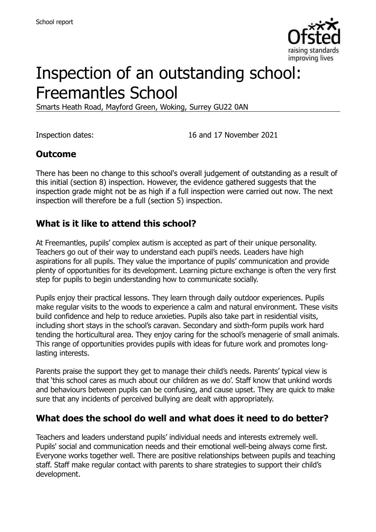

# Inspection of an outstanding school: Freemantles School

Smarts Heath Road, Mayford Green, Woking, Surrey GU22 0AN

Inspection dates: 16 and 17 November 2021

## **Outcome**

There has been no change to this school's overall judgement of outstanding as a result of this initial (section 8) inspection. However, the evidence gathered suggests that the inspection grade might not be as high if a full inspection were carried out now. The next inspection will therefore be a full (section 5) inspection.

## **What is it like to attend this school?**

At Freemantles, pupils' complex autism is accepted as part of their unique personality. Teachers go out of their way to understand each pupil's needs. Leaders have high aspirations for all pupils. They value the importance of pupils' communication and provide plenty of opportunities for its development. Learning picture exchange is often the very first step for pupils to begin understanding how to communicate socially.

Pupils enjoy their practical lessons. They learn through daily outdoor experiences. Pupils make regular visits to the woods to experience a calm and natural environment. These visits build confidence and help to reduce anxieties. Pupils also take part in residential visits, including short stays in the school's caravan. Secondary and sixth-form pupils work hard tending the horticultural area. They enjoy caring for the school's menagerie of small animals. This range of opportunities provides pupils with ideas for future work and promotes longlasting interests.

Parents praise the support they get to manage their child's needs. Parents' typical view is that 'this school cares as much about our children as we do'. Staff know that unkind words and behaviours between pupils can be confusing, and cause upset. They are quick to make sure that any incidents of perceived bullying are dealt with appropriately.

# **What does the school do well and what does it need to do better?**

Teachers and leaders understand pupils' individual needs and interests extremely well. Pupils' social and communication needs and their emotional well-being always come first. Everyone works together well. There are positive relationships between pupils and teaching staff. Staff make regular contact with parents to share strategies to support their child's development.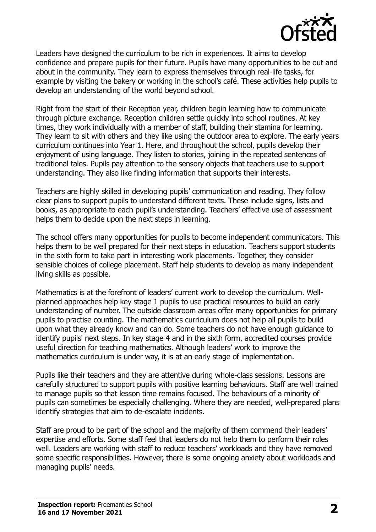

Leaders have designed the curriculum to be rich in experiences. It aims to develop confidence and prepare pupils for their future. Pupils have many opportunities to be out and about in the community. They learn to express themselves through real-life tasks, for example by visiting the bakery or working in the school's café. These activities help pupils to develop an understanding of the world beyond school.

Right from the start of their Reception year, children begin learning how to communicate through picture exchange. Reception children settle quickly into school routines. At key times, they work individually with a member of staff, building their stamina for learning. They learn to sit with others and they like using the outdoor area to explore. The early years curriculum continues into Year 1. Here, and throughout the school, pupils develop their enjoyment of using language. They listen to stories, joining in the repeated sentences of traditional tales. Pupils pay attention to the sensory objects that teachers use to support understanding. They also like finding information that supports their interests.

Teachers are highly skilled in developing pupils' communication and reading. They follow clear plans to support pupils to understand different texts. These include signs, lists and books, as appropriate to each pupil's understanding. Teachers' effective use of assessment helps them to decide upon the next steps in learning.

The school offers many opportunities for pupils to become independent communicators. This helps them to be well prepared for their next steps in education. Teachers support students in the sixth form to take part in interesting work placements. Together, they consider sensible choices of college placement. Staff help students to develop as many independent living skills as possible.

Mathematics is at the forefront of leaders' current work to develop the curriculum. Wellplanned approaches help key stage 1 pupils to use practical resources to build an early understanding of number. The outside classroom areas offer many opportunities for primary pupils to practise counting. The mathematics curriculum does not help all pupils to build upon what they already know and can do. Some teachers do not have enough guidance to identify pupils' next steps. In key stage 4 and in the sixth form, accredited courses provide useful direction for teaching mathematics. Although leaders' work to improve the mathematics curriculum is under way, it is at an early stage of implementation.

Pupils like their teachers and they are attentive during whole-class sessions. Lessons are carefully structured to support pupils with positive learning behaviours. Staff are well trained to manage pupils so that lesson time remains focused. The behaviours of a minority of pupils can sometimes be especially challenging. Where they are needed, well-prepared plans identify strategies that aim to de-escalate incidents.

Staff are proud to be part of the school and the majority of them commend their leaders' expertise and efforts. Some staff feel that leaders do not help them to perform their roles well. Leaders are working with staff to reduce teachers' workloads and they have removed some specific responsibilities. However, there is some ongoing anxiety about workloads and managing pupils' needs.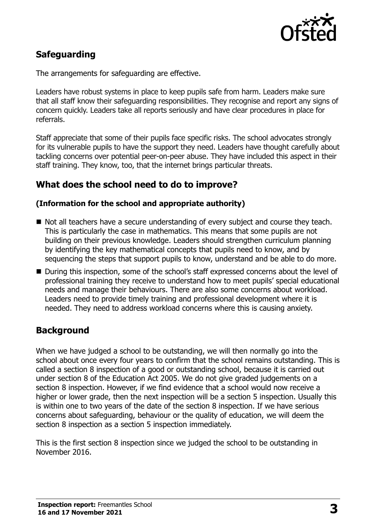

# **Safeguarding**

The arrangements for safeguarding are effective.

Leaders have robust systems in place to keep pupils safe from harm. Leaders make sure that all staff know their safeguarding responsibilities. They recognise and report any signs of concern quickly. Leaders take all reports seriously and have clear procedures in place for referrals.

Staff appreciate that some of their pupils face specific risks. The school advocates strongly for its vulnerable pupils to have the support they need. Leaders have thought carefully about tackling concerns over potential peer-on-peer abuse. They have included this aspect in their staff training. They know, too, that the internet brings particular threats.

## **What does the school need to do to improve?**

#### **(Information for the school and appropriate authority)**

- Not all teachers have a secure understanding of every subject and course they teach. This is particularly the case in mathematics. This means that some pupils are not building on their previous knowledge. Leaders should strengthen curriculum planning by identifying the key mathematical concepts that pupils need to know, and by sequencing the steps that support pupils to know, understand and be able to do more.
- During this inspection, some of the school's staff expressed concerns about the level of professional training they receive to understand how to meet pupils' special educational needs and manage their behaviours. There are also some concerns about workload. Leaders need to provide timely training and professional development where it is needed. They need to address workload concerns where this is causing anxiety.

# **Background**

When we have judged a school to be outstanding, we will then normally go into the school about once every four years to confirm that the school remains outstanding. This is called a section 8 inspection of a good or outstanding school, because it is carried out under section 8 of the Education Act 2005. We do not give graded judgements on a section 8 inspection. However, if we find evidence that a school would now receive a higher or lower grade, then the next inspection will be a section 5 inspection. Usually this is within one to two years of the date of the section 8 inspection. If we have serious concerns about safeguarding, behaviour or the quality of education, we will deem the section 8 inspection as a section 5 inspection immediately.

This is the first section 8 inspection since we judged the school to be outstanding in November 2016.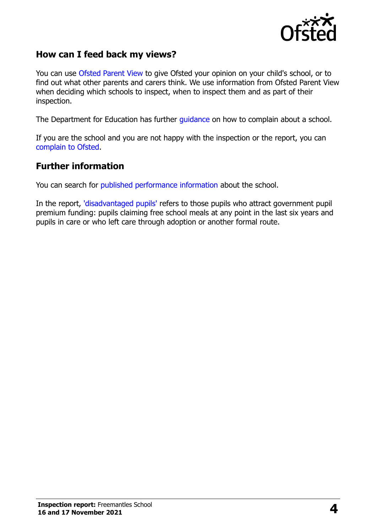

## **How can I feed back my views?**

You can use [Ofsted Parent View](https://parentview.ofsted.gov.uk/) to give Ofsted your opinion on your child's school, or to find out what other parents and carers think. We use information from Ofsted Parent View when deciding which schools to inspect, when to inspect them and as part of their inspection.

The Department for Education has further [guidance](http://www.gov.uk/complain-about-school) on how to complain about a school.

If you are the school and you are not happy with the inspection or the report, you can [complain to Ofsted.](https://www.gov.uk/complain-ofsted-report)

#### **Further information**

You can search for [published performance information](http://www.compare-school-performance.service.gov.uk/) about the school.

In the report, ['disadvantaged pupils'](http://www.gov.uk/guidance/pupil-premium-information-for-schools-and-alternative-provision-settings) refers to those pupils who attract government pupil premium funding: pupils claiming free school meals at any point in the last six years and pupils in care or who left care through adoption or another formal route.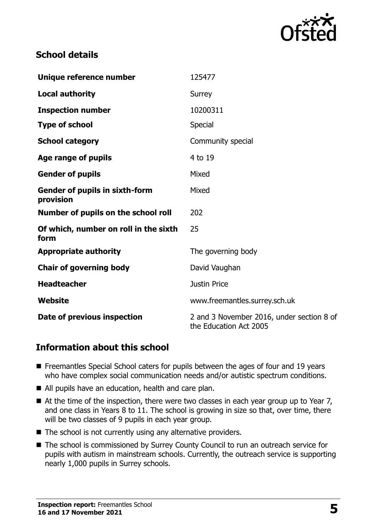

# **School details**

| Unique reference number                            | 125477                                                              |
|----------------------------------------------------|---------------------------------------------------------------------|
| <b>Local authority</b>                             | Surrey                                                              |
| <b>Inspection number</b>                           | 10200311                                                            |
| <b>Type of school</b>                              | Special                                                             |
| <b>School category</b>                             | Community special                                                   |
| Age range of pupils                                | 4 to 19                                                             |
| <b>Gender of pupils</b>                            | Mixed                                                               |
| <b>Gender of pupils in sixth-form</b><br>provision | Mixed                                                               |
| Number of pupils on the school roll                | 202                                                                 |
| Of which, number on roll in the sixth<br>form      | 25                                                                  |
| <b>Appropriate authority</b>                       | The governing body                                                  |
| <b>Chair of governing body</b>                     | David Vaughan                                                       |
| <b>Headteacher</b>                                 | <b>Justin Price</b>                                                 |
| Website                                            | www.freemantles.surrey.sch.uk                                       |
| Date of previous inspection                        | 2 and 3 November 2016, under section 8 of<br>the Education Act 2005 |

## **Information about this school**

- Freemantles Special School caters for pupils between the ages of four and 19 years who have complex social communication needs and/or autistic spectrum conditions.
- All pupils have an education, health and care plan.
- $\blacksquare$  At the time of the inspection, there were two classes in each year group up to Year 7, and one class in Years 8 to 11. The school is growing in size so that, over time, there will be two classes of 9 pupils in each year group.
- $\blacksquare$  The school is not currently using any alternative providers.
- The school is commissioned by Surrey County Council to run an outreach service for pupils with autism in mainstream schools. Currently, the outreach service is supporting nearly 1,000 pupils in Surrey schools.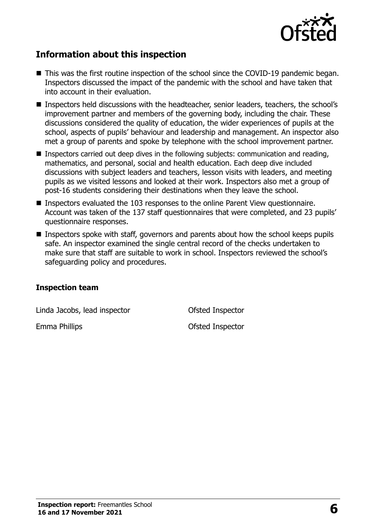

# **Information about this inspection**

- This was the first routine inspection of the school since the COVID-19 pandemic began. Inspectors discussed the impact of the pandemic with the school and have taken that into account in their evaluation.
- Inspectors held discussions with the headteacher, senior leaders, teachers, the school's improvement partner and members of the governing body, including the chair. These discussions considered the quality of education, the wider experiences of pupils at the school, aspects of pupils' behaviour and leadership and management. An inspector also met a group of parents and spoke by telephone with the school improvement partner.
- **Inspectors carried out deep dives in the following subjects: communication and reading,** mathematics, and personal, social and health education. Each deep dive included discussions with subject leaders and teachers, lesson visits with leaders, and meeting pupils as we visited lessons and looked at their work. Inspectors also met a group of post-16 students considering their destinations when they leave the school.
- Inspectors evaluated the 103 responses to the online Parent View questionnaire. Account was taken of the 137 staff questionnaires that were completed, and 23 pupils' questionnaire responses.
- Inspectors spoke with staff, governors and parents about how the school keeps pupils safe. An inspector examined the single central record of the checks undertaken to make sure that staff are suitable to work in school. Inspectors reviewed the school's safeguarding policy and procedures.

#### **Inspection team**

Linda Jacobs, lead inspector Ofsted Inspector

Emma Phillips **Emma Phillips Contract Contract Phillips Ofsted Inspector**